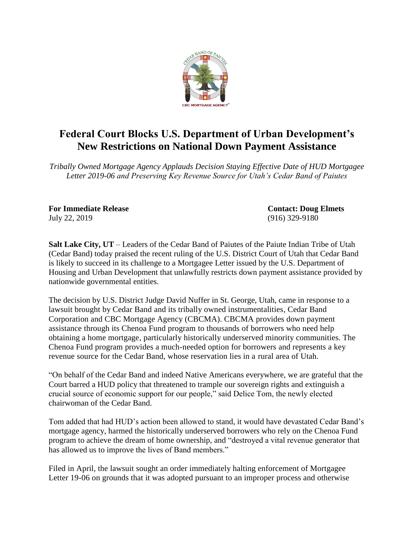

## **Federal Court Blocks U.S. Department of Urban Development's New Restrictions on National Down Payment Assistance**

*Tribally Owned Mortgage Agency Applauds Decision Staying Effective Date of HUD Mortgagee Letter 2019-06 and Preserving Key Revenue Source for Utah's Cedar Band of Paiutes*

**For Immediate Release Contact: Doug Elmets** July 22, 2019 (916) 329-9180

**Salt Lake City, UT** – Leaders of the Cedar Band of Paiutes of the Paiute Indian Tribe of Utah (Cedar Band) today praised the recent ruling of the U.S. District Court of Utah that Cedar Band is likely to succeed in its challenge to a Mortgagee Letter issued by the U.S. Department of Housing and Urban Development that unlawfully restricts down payment assistance provided by nationwide governmental entities.

The decision by U.S. District Judge David Nuffer in St. George, Utah, came in response to a lawsuit brought by Cedar Band and its tribally owned instrumentalities, Cedar Band Corporation and CBC Mortgage Agency (CBCMA). CBCMA provides down payment assistance through its Chenoa Fund program to thousands of borrowers who need help obtaining a home mortgage, particularly historically underserved minority communities. The Chenoa Fund program provides a much-needed option for borrowers and represents a key revenue source for the Cedar Band, whose reservation lies in a rural area of Utah.

"On behalf of the Cedar Band and indeed Native Americans everywhere, we are grateful that the Court barred a HUD policy that threatened to trample our sovereign rights and extinguish a crucial source of economic support for our people," said Delice Tom, the newly elected chairwoman of the Cedar Band.

Tom added that had HUD's action been allowed to stand, it would have devastated Cedar Band's mortgage agency, harmed the historically underserved borrowers who rely on the Chenoa Fund program to achieve the dream of home ownership, and "destroyed a vital revenue generator that has allowed us to improve the lives of Band members."

Filed in April, the lawsuit sought an order immediately halting enforcement of Mortgagee Letter 19-06 on grounds that it was adopted pursuant to an improper process and otherwise